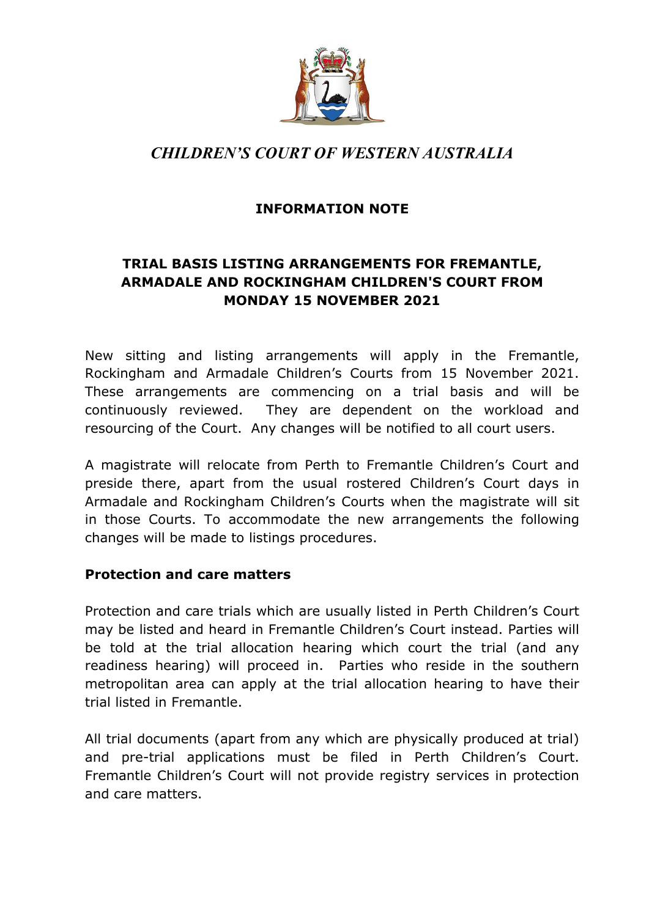

# *CHILDREN'S COURT OF WESTERN AUSTRALIA*

## **INFORMATION NOTE**

# **TRIAL BASIS LISTING ARRANGEMENTS FOR FREMANTLE, ARMADALE AND ROCKINGHAM CHILDREN'S COURT FROM MONDAY 15 NOVEMBER 2021**

New sitting and listing arrangements will apply in the Fremantle, Rockingham and Armadale Children's Courts from 15 November 2021. These arrangements are commencing on a trial basis and will be continuously reviewed. They are dependent on the workload and resourcing of the Court. Any changes will be notified to all court users.

A magistrate will relocate from Perth to Fremantle Children's Court and preside there, apart from the usual rostered Children's Court days in Armadale and Rockingham Children's Courts when the magistrate will sit in those Courts. To accommodate the new arrangements the following changes will be made to listings procedures.

#### **Protection and care matters**

Protection and care trials which are usually listed in Perth Children's Court may be listed and heard in Fremantle Children's Court instead. Parties will be told at the trial allocation hearing which court the trial (and any readiness hearing) will proceed in. Parties who reside in the southern metropolitan area can apply at the trial allocation hearing to have their trial listed in Fremantle.

All trial documents (apart from any which are physically produced at trial) and pre-trial applications must be filed in Perth Children's Court. Fremantle Children's Court will not provide registry services in protection and care matters.